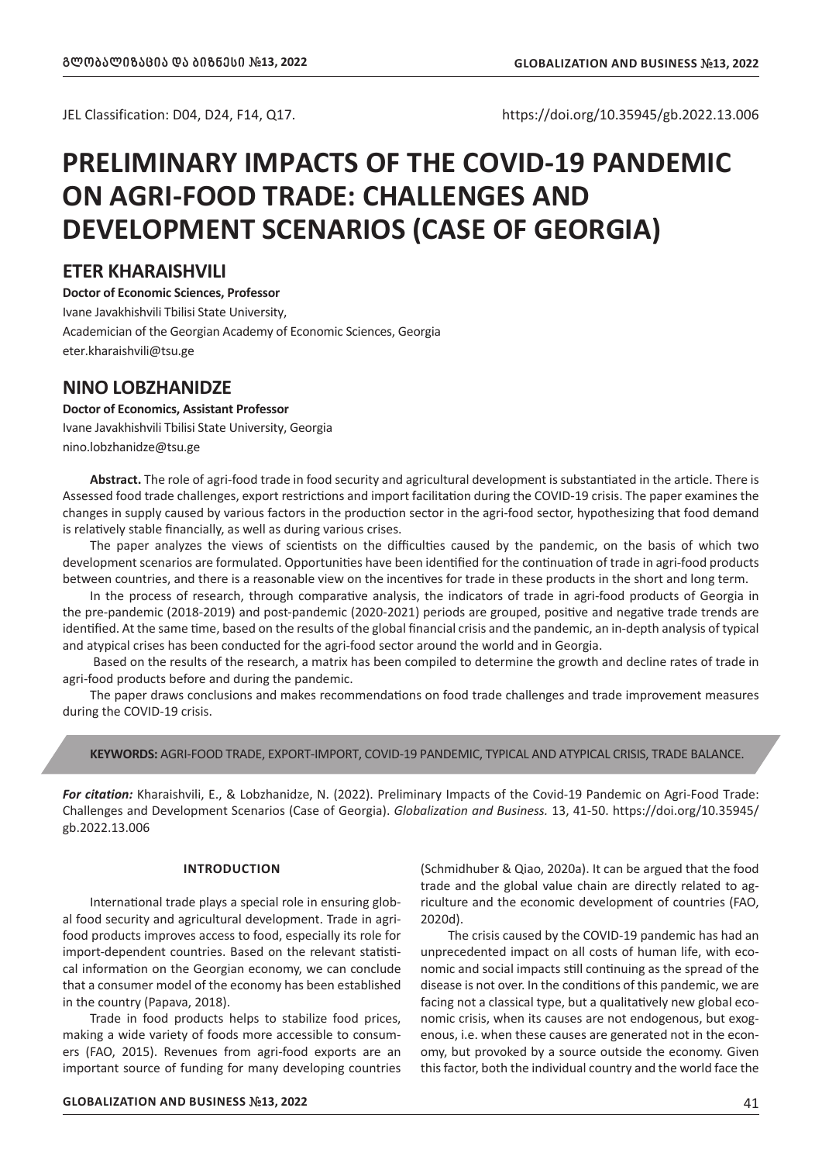JEL Classification: D04, D24, F14, Q17. https://doi.org/10.35945/gb.2022.13.006

# **PRELIMINARY IMPACTS OF THE COVID-19 PANDEMIC ON AGRI-FOOD TRADE: CHALLENGES AND DEVELOPMENT SCENARIOS (CASE OF GEORGIA)**

## **ETER KHARAISHVILI**

**Doctor of Economic Sciences, Professor** Ivane Javakhishvili Tbilisi State University, Academician of the Georgian Academy of Economic Sciences, Georgia eter.kharaishvili@tsu.ge

# **NINO LOBZHANIDZE**

### **Doctor of Economics, Assistant Professor**

Ivane Javakhishvili Tbilisi State University, Georgia nino.lobzhanidze@tsu.ge

**Abstract.** The role of agri-food trade in food security and agricultural development is substantiated in the article. There is Assessed food trade challenges, export restrictions and import facilitation during the COVID-19 crisis. The paper examines the changes in supply caused by various factors in the production sector in the agri-food sector, hypothesizing that food demand is relatively stable financially, as well as during various crises.

The paper analyzes the views of scientists on the difficulties caused by the pandemic, on the basis of which two development scenarios are formulated. Opportunities have been identified for the continuation of trade in agri-food products between countries, and there is a reasonable view on the incentives for trade in these products in the short and long term.

In the process of research, through comparative analysis, the indicators of trade in agri-food products of Georgia in the pre-pandemic (2018-2019) and post-pandemic (2020-2021) periods are grouped, positive and negative trade trends are identified. At the same time, based on the results of the global financial crisis and the pandemic, an in-depth analysis of typical and atypical crises has been conducted for the agri-food sector around the world and in Georgia.

 Based on the results of the research, a matrix has been compiled to determine the growth and decline rates of trade in agri-food products before and during the pandemic.

The paper draws conclusions and makes recommendations on food trade challenges and trade improvement measures during the COVID-19 crisis.

#### **KEYWORDS:** AGRI-FOOD TRADE, EXPORT-IMPORT, COVID-19 PANDEMIC, TYPICAL AND ATYPICAL CRISIS, TRADE BALANCE.

*For citation:* Kharaishvili, E., & Lobzhanidze, N. (2022). Preliminary Impacts of the Covid-19 Pandemic on Agri-Food Trade: Challenges and Development Scenarios (Case of Georgia). *Globalization and Business.* 13, 41-50. https://doi.org/10.35945/ gb.2022.13.006

#### **INTRODUCTION**

International trade plays a special role in ensuring global food security and agricultural development. Trade in agrifood products improves access to food, especially its role for import-dependent countries. Based on the relevant statistical information on the Georgian economy, we can conclude that a consumer model of the economy has been established in the country (Papava, 2018).

Trade in food products helps to stabilize food prices, making a wide variety of foods more accessible to consumers (FAO, 2015). Revenues from agri-food exports are an important source of funding for many developing countries (Schmidhuber & Qiao, 2020a). It can be argued that the food trade and the global value chain are directly related to agriculture and the economic development of countries (FAO, 2020d).

The crisis caused by the COVID-19 pandemic has had an unprecedented impact on all costs of human life, with economic and social impacts still continuing as the spread of the disease is not over. In the conditions of this pandemic, we are facing not a classical type, but a qualitatively new global economic crisis, when its causes are not endogenous, but exogenous, i.e. when these causes are generated not in the economy, but provoked by a source outside the economy. Given this factor, both the individual country and the world face the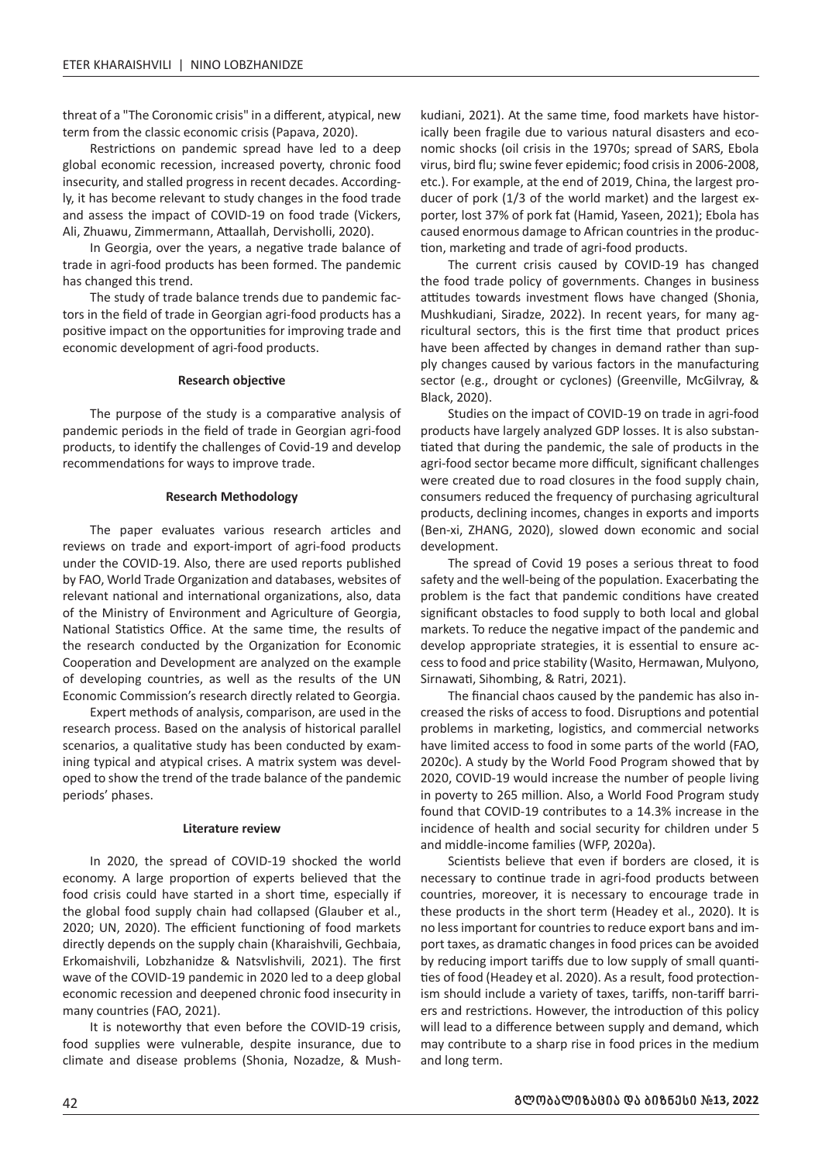threat of a "The Coronomic crisis" in a different, atypical, new term from the classic economic crisis (Papava, 2020).

Restrictions on pandemic spread have led to a deep global economic recession, increased poverty, chronic food insecurity, and stalled progress in recent decades. Accordingly, it has become relevant to study changes in the food trade and assess the impact of COVID-19 on food trade (Vickers, Ali, Zhuawu, Zimmermann, Attaallah, Dervisholli, 2020).

In Georgia, over the years, a negative trade balance of trade in agri-food products has been formed. The pandemic has changed this trend.

The study of trade balance trends due to pandemic factors in the field of trade in Georgian agri-food products has a positive impact on the opportunities for improving trade and economic development of agri-food products.

#### **Research objective**

The purpose of the study is a comparative analysis of pandemic periods in the field of trade in Georgian agri-food products, to identify the challenges of Covid-19 and develop recommendations for ways to improve trade.

#### **Research Methodology**

The paper evaluates various research articles and reviews on trade and export-import of agri-food products under the COVID-19. Also, there are used reports published by FAO, World Trade Organization and databases, websites of relevant national and international organizations, also, data of the Ministry of Environment and Agriculture of Georgia, National Statistics Office. At the same time, the results of the research conducted by the Organization for Economic Cooperation and Development are analyzed on the example of developing countries, as well as the results of the UN Economic Commission's research directly related to Georgia.

Expert methods of analysis, comparison, are used in the research process. Based on the analysis of historical parallel scenarios, a qualitative study has been conducted by examining typical and atypical crises. A matrix system was developed to show the trend of the trade balance of the pandemic periods' phases.

#### **Literature review**

In 2020, the spread of COVID-19 shocked the world economy. A large proportion of experts believed that the food crisis could have started in a short time, especially if the global food supply chain had collapsed (Glauber et al., 2020; UN, 2020). The efficient functioning of food markets directly depends on the supply chain (Kharaishvili, Gechbaia, Erkomaishvili, Lobzhanidze & Natsvlishvili, 2021). The first wave of the COVID-19 pandemic in 2020 led to a deep global economic recession and deepened chronic food insecurity in many countries (FAO, 2021).

It is noteworthy that even before the COVID-19 crisis, food supplies were vulnerable, despite insurance, due to climate and disease problems (Shonia, Nozadze, & Mush-

kudiani, 2021). At the same time, food markets have historically been fragile due to various natural disasters and economic shocks (oil crisis in the 1970s; spread of SARS, Ebola virus, bird flu; swine fever epidemic; food crisis in 2006-2008, etc.). For example, at the end of 2019, China, the largest producer of pork (1/3 of the world market) and the largest exporter, lost 37% of pork fat (Hamid, Yaseen, 2021); Ebola has caused enormous damage to African countries in the production, marketing and trade of agri-food products.

The current crisis caused by COVID-19 has changed the food trade policy of governments. Changes in business attitudes towards investment flows have changed (Shonia, Mushkudiani, Siradze, 2022). In recent years, for many agricultural sectors, this is the first time that product prices have been affected by changes in demand rather than supply changes caused by various factors in the manufacturing sector (e.g., drought or cyclones) (Greenville, McGilvray, & Black, 2020).

Studies on the impact of COVID-19 on trade in agri-food products have largely analyzed GDP losses. It is also substantiated that during the pandemic, the sale of products in the agri-food sector became more difficult, significant challenges were created due to road closures in the food supply chain, consumers reduced the frequency of purchasing agricultural products, declining incomes, changes in exports and imports (Ben-xi, ZHANG, 2020), slowed down economic and social development.

The spread of Covid 19 poses a serious threat to food safety and the well-being of the population. Exacerbating the problem is the fact that pandemic conditions have created significant obstacles to food supply to both local and global markets. To reduce the negative impact of the pandemic and develop appropriate strategies, it is essential to ensure access to food and price stability (Wasito, Hermawan, Mulyono, Sirnawati, Sihombing, & Ratri, 2021).

The financial chaos caused by the pandemic has also increased the risks of access to food. Disruptions and potential problems in marketing, logistics, and commercial networks have limited access to food in some parts of the world (FAO, 2020c). A study by the World Food Program showed that by 2020, COVID-19 would increase the number of people living in poverty to 265 million. Also, a World Food Program study found that COVID-19 contributes to a 14.3% increase in the incidence of health and social security for children under 5 and middle-income families (WFP, 2020a).

Scientists believe that even if borders are closed, it is necessary to continue trade in agri-food products between countries, moreover, it is necessary to encourage trade in these products in the short term (Headey et al., 2020). It is no less important for countries to reduce export bans and import taxes, as dramatic changes in food prices can be avoided by reducing import tariffs due to low supply of small quantities of food (Headey et al. 2020). As a result, food protectionism should include a variety of taxes, tariffs, non-tariff barriers and restrictions. However, the introduction of this policy will lead to a difference between supply and demand, which may contribute to a sharp rise in food prices in the medium and long term.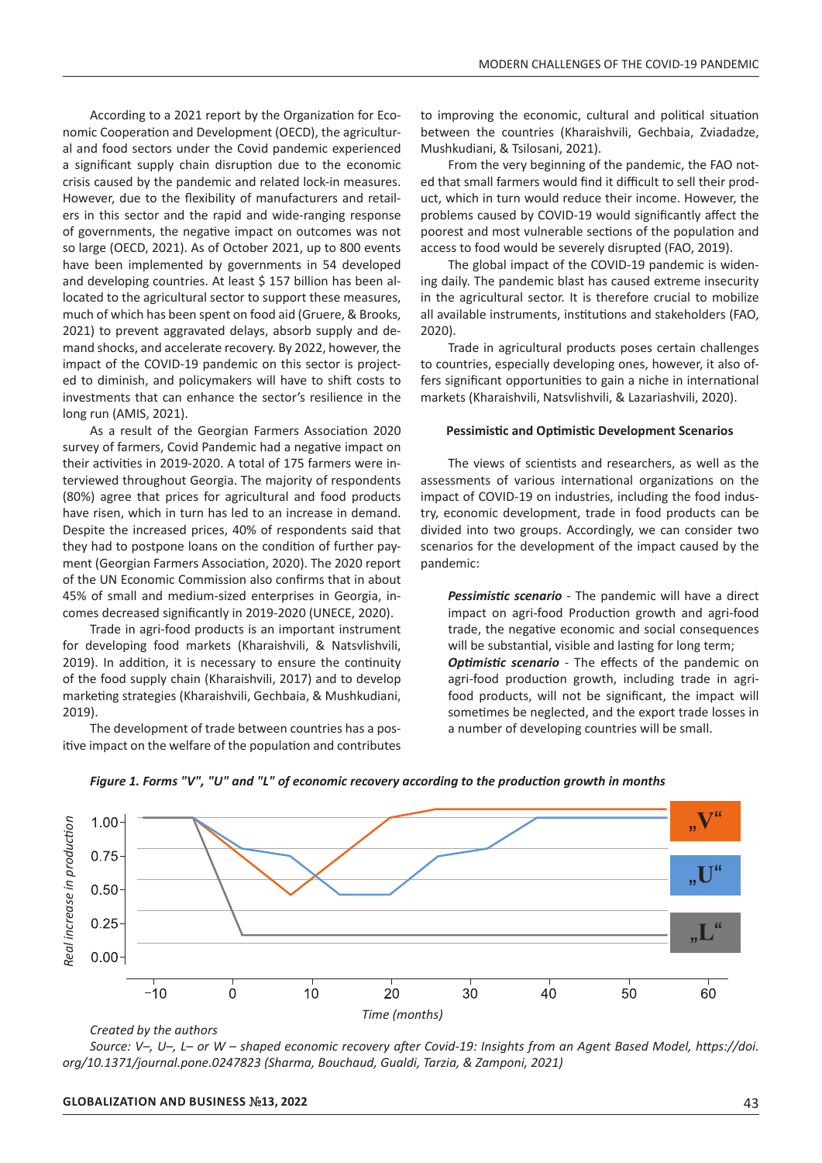According to a 2021 report by the Organization for Economic Cooperation and Development (OECD), the agricultural and food sectors under the Covid pandemic experienced a significant supply chain disruption due to the economic crisis caused by the pandemic and related lock-in measures. However, due to the flexibility of manufacturers and retailers in this sector and the rapid and wide-ranging response of governments, the negative impact on outcomes was not so large (OECD, 2021). As of October 2021, up to 800 events have been implemented by governments in 54 developed and developing countries. At least \$ 157 billion has been allocated to the agricultural sector to support these measures, much of which has been spent on food aid (Gruere, & Brooks, 2021) to prevent aggravated delays, absorb supply and demand shocks, and accelerate recovery. By 2022, however, the impact of the COVID-19 pandemic on this sector is projected to diminish, and policymakers will have to shift costs to investments that can enhance the sector's resilience in the long run (AMIS, 2021).

As a result of the Georgian Farmers Association 2020 survey of farmers, Covid Pandemic had a negative impact on their activities in 2019-2020. A total of 175 farmers were interviewed throughout Georgia. The majority of respondents (80%) agree that prices for agricultural and food products have risen, which in turn has led to an increase in demand. Despite the increased prices, 40% of respondents said that they had to postpone loans on the condition of further payment (Georgian Farmers Association, 2020). The 2020 report of the UN Economic Commission also confirms that in about 45% of small and medium-sized enterprises in Georgia, incomes decreased significantly in 2019-2020 (UNECE, 2020).

Trade in agri-food products is an important instrument for developing food markets (Kharaishvili, & Natsvlishvili, 2019). In addition, it is necessary to ensure the continuity of the food supply chain (Kharaishvili, 2017) and to develop marketing strategies (Kharaishvili, Gechbaia, & Mushkudiani, 2019).

The development of trade between countries has a positive impact on the welfare of the population and contributes to improving the economic, cultural and political situation between the countries (Kharaishvili, Gechbaia, Zviadadze, Mushkudiani, & Tsilosani, 2021).

From the very beginning of the pandemic, the FAO noted that small farmers would find it difficult to sell their product, which in turn would reduce their income. However, the problems caused by COVID-19 would significantly affect the poorest and most vulnerable sections of the population and access to food would be severely disrupted (FAO, 2019).

The global impact of the COVID-19 pandemic is widening daily. The pandemic blast has caused extreme insecurity in the agricultural sector. It is therefore crucial to mobilize all available instruments, institutions and stakeholders (FAO, 2020).

Trade in agricultural products poses certain challenges to countries, especially developing ones, however, it also offers significant opportunities to gain a niche in international markets (Kharaishvili, Natsvlishvili, & Lazariashvili, 2020).

#### **Pessimistic and Optimistic Development Scenarios**

The views of scientists and researchers, as well as the assessments of various international organizations on the impact of COVID-19 on industries, including the food industry, economic development, trade in food products can be divided into two groups. Accordingly, we can consider two scenarios for the development of the impact caused by the pandemic:

*Pessimistic scenario* - The pandemic will have a direct impact on agri-food Production growth and agri-food trade, the negative economic and social consequences will be substantial, visible and lasting for long term; *Optimistic scenario* - The effects of the pandemic on agri-food production growth, including trade in agrifood products, will not be significant, the impact will sometimes be neglected, and the export trade losses in a number of developing countries will be small.





*Source: V–, U–, L– or W – shaped economic recovery after Covid-19: Insights from an Agent Based Model, https://doi. org/10.1371/journal.pone.0247823 (Sharma, Bouchaud, Gualdi, Tarzia, & Zamponi, 2021)*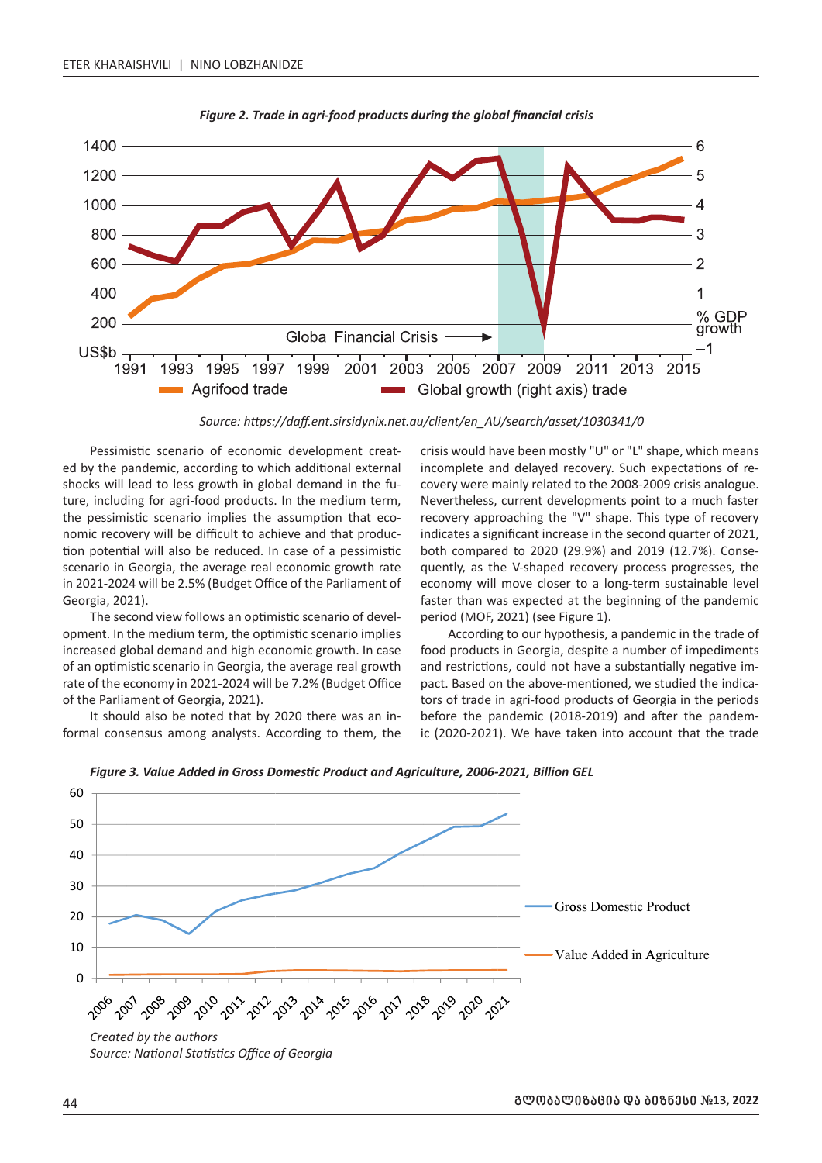

*Figure 2. Trade in agri-food products during the global financial crisis*

*Source: https://daff.ent.sirsidynix.net.au/client/en\_AU/search/asset/1030341/0* 

Pessimistic scenario of economic development created by the pandemic, according to which additional external shocks will lead to less growth in global demand in the future, including for agri-food products. In the medium term, the pessimistic scenario implies the assumption that economic recovery will be difficult to achieve and that production potential will also be reduced. In case of a pessimistic scenario in Georgia, the average real economic growth rate in 2021-2024 will be 2.5% (Budget Office of the Parliament of Georgia, 2021).

The second view follows an optimistic scenario of development. In the medium term, the optimistic scenario implies increased global demand and high economic growth. In case of an optimistic scenario in Georgia, the average real growth rate of the economy in 2021-2024 will be 7.2% (Budget Office of the Parliament of Georgia, 2021).

It should also be noted that by 2020 there was an informal consensus among analysts. According to them, the

crisis would have been mostly "U" or "L" shape, which means incomplete and delayed recovery. Such expectations of recovery were mainly related to the 2008-2009 crisis analogue. Nevertheless, current developments point to a much faster recovery approaching the "V" shape. This type of recovery indicates a significant increase in the second quarter of 2021, both compared to 2020 (29.9%) and 2019 (12.7%). Consequently, as the V-shaped recovery process progresses, the economy will move closer to a long-term sustainable level faster than was expected at the beginning of the pandemic period (MOF, 2021) (see Figure 1).

According to our hypothesis, a pandemic in the trade of food products in Georgia, despite a number of impediments and restrictions, could not have a substantially negative impact. Based on the above-mentioned, we studied the indicators of trade in agri-food products of Georgia in the periods before the pandemic (2018-2019) and after the pandemic (2020-2021). We have taken into account that the trade



*Figure 3. Value Added in Gross Domestic Product and Agriculture, 2006-2021, Billion GEL*

*Source: National Statistics Office of Georgia*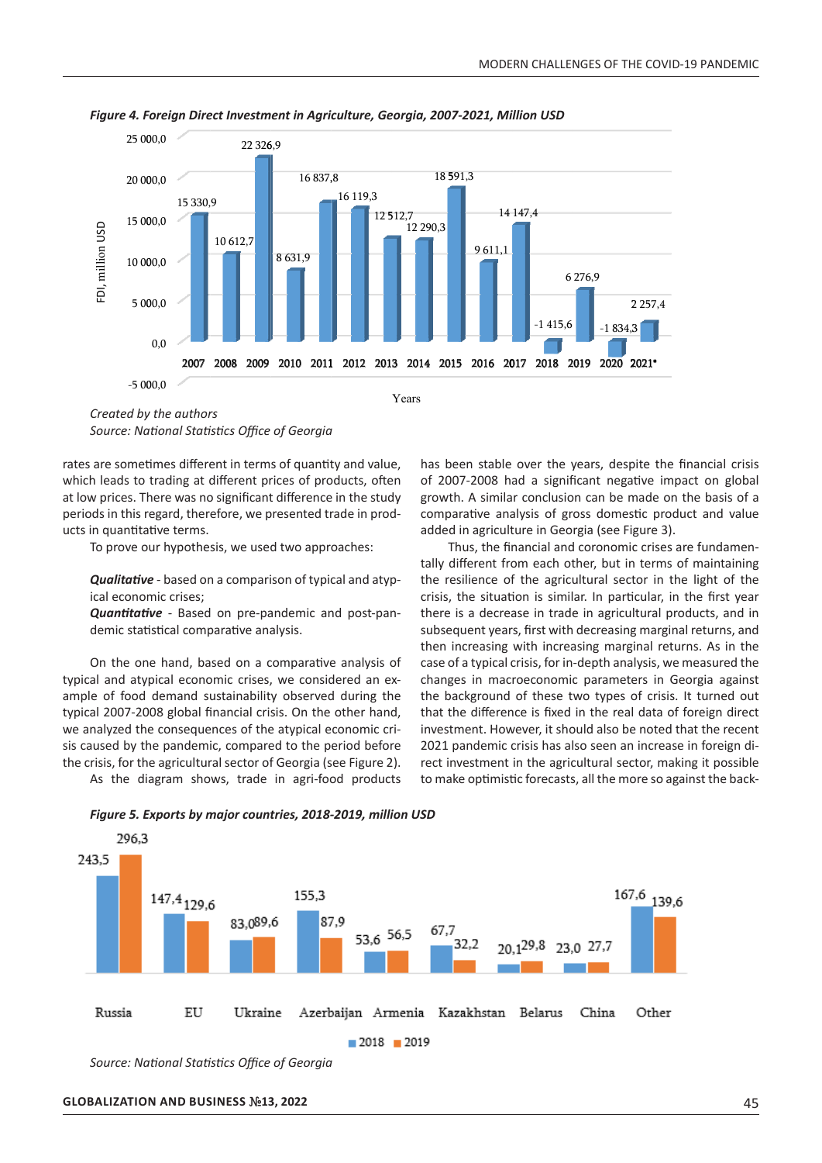

*Figure 4. Foreign Direct Investment in Agriculture, Georgia, 2007-2021, Million USD*

*Created by the authors Source: National Statistics Office of Georgia*

rates are sometimes different in terms of quantity and value, races are sometimes amerent in terms or quantity and value, which leads to trading at different prices of products, often at low prices. There was no significant difference in the study periods in this regard, therefore, we presented trade in prod-**Change in Balance**  6.52% ucts in quantitative terms.

To prove our hypothesis, we used two approaches:

**Qualitative** - based on a comparison of typical and atypical economic crises;

Quantitative - Based on pre-pandemic and post-pandemic statistical comparative analysis.

On the one hand, based on a comparative analysis of typical and atypical economic crises, we considered an example of food demand sustainability observed during the typical 2007-2008 global financial crisis. On the other hand, we analyzed the consequences of the atypical economic crisis caused by the pandemic, compared to the period before the crisis, for the agricultural sector of Georgia (see Figure 2). Trade<br>Dat<br>Oc

As the diagram shows, trade in agri-food products

has been stable over the years, despite the financial crisis of 2007-2008 had a significant negative impact on global growth. A similar conclusion can be made on the basis of a comparative analysis of gross domestic product and value added in agriculture in Georgia (see Figure 3).

Thus, the financial and coronomic crises are fundamentally different from each other, but in terms of maintaining the resilience of the agricultural sector in the light of the crisis, the situation is similar. In particular, in the first year there is a decrease in trade in agricultural products, and in subsequent years, first with decreasing marginal returns, and then increasing with increasing marginal returns. As in the case of a typical crisis, for in-depth analysis, we measured the changes in macroeconomic parameters in Georgia against the background of these two types of crisis. It turned out that the difference is fixed in the real data of foreign direct investment. However, it should also be noted that the recent 2021 pandemic crisis has also seen an increase in foreign direct investment in the agricultural sector, making it possible to make optimistic forecasts, all the more so against the back-



*Figure 5. Exports by major countries, 2018-2019, million USD*

*Source: National Statistics Office of Georgia*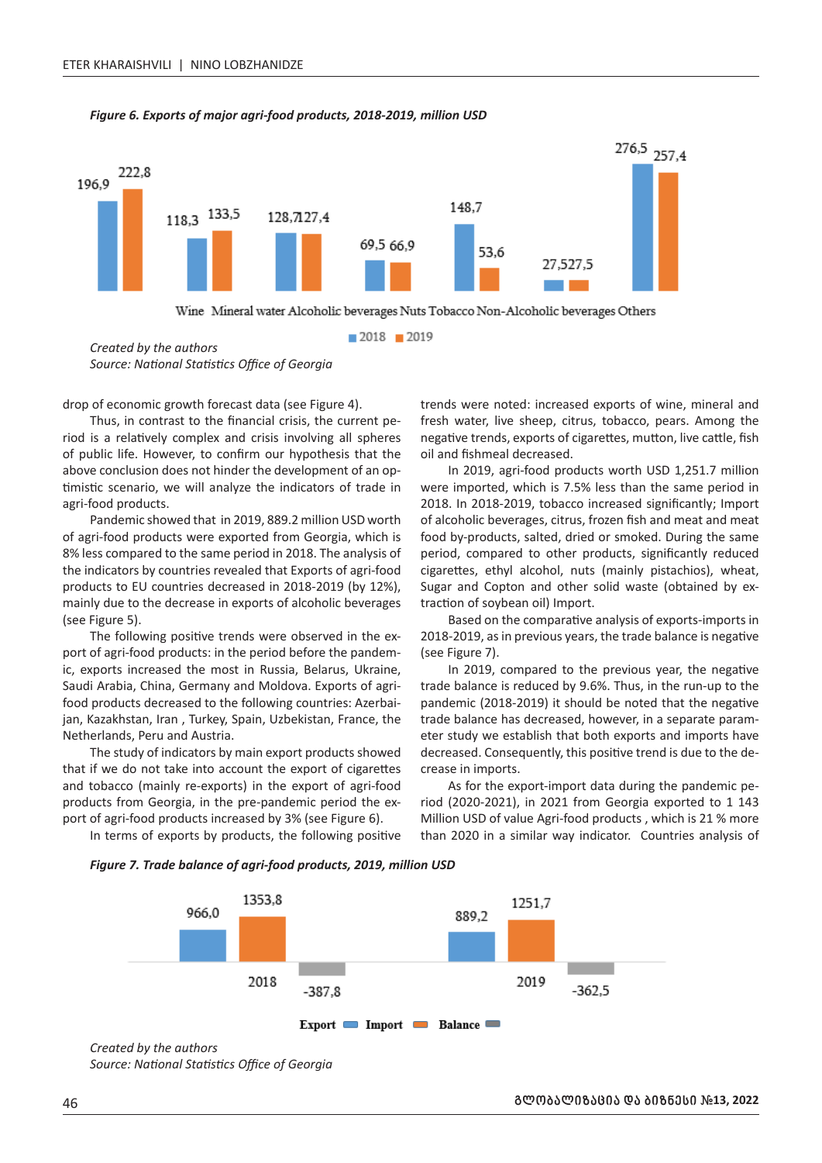



*Created by the authors Source: National Statistics Office of Georgia*

drop of economic growth forecast data (see Figure 4).

Thus, in contrast to the financial crisis, the current period is a relatively complex and crisis involving all spheres of public life. However, to confirm our hypothesis that the above conclusion does not hinder the development of an optimistic scenario, we will analyze the indicators of trade in agri-food products.

Pandemic showed that in 2019, 889.2 million USD worth of agri-food products were exported from Georgia, which is 8% less compared to the same period in 2018. The analysis of the indicators by countries revealed that Exports of agri-food products to EU countries decreased in 2018-2019 (by 12%), mainly due to the decrease in exports of alcoholic beverages (see Figure 5).

The following positive trends were observed in the export of agri-food products: in the period before the pandemic, exports increased the most in Russia, Belarus, Ukraine, Saudi Arabia, China, Germany and Moldova. Exports of agrifood products decreased to the following countries: Azerbaijan, Kazakhstan, Iran , Turkey, Spain, Uzbekistan, France, the Netherlands, Peru and Austria.

The study of indicators by main export products showed that if we do not take into account the export of cigarettes and tobacco (mainly re-exports) in the export of agri-food products from Georgia, in the pre-pandemic period the export of agri-food products increased by 3% (see Figure 6).

trends were noted: increased exports of wine, mineral and fresh water, live sheep, citrus, tobacco, pears. Among the negative trends, exports of cigarettes, mutton, live cattle, fish oil and fishmeal decreased. In 2019, agri-food products worth USD 1,251.7 million

were imported, which is 7.5% less than the same period in 2018. In 2018-2019, tobacco increased significantly; Import of alcoholic beverages, citrus, frozen fish and meat and meat food by-products, salted, dried or smoked. During the same period, compared to other products, significantly reduced cigarettes, ethyl alcohol, nuts (mainly pistachios), wheat, Sugar and Copton and other solid waste (obtained by extraction of soybean oil) Import.

Based on the comparative analysis of exports-imports in 2018-2019, as in previous years, the trade balance is negative (see Figure 7).

In 2019, compared to the previous year, the negative trade balance is reduced by 9.6%. Thus, in the run-up to the pandemic (2018-2019) it should be noted that the negative trade balance has decreased, however, in a separate parameter study we establish that both exports and imports have decreased. Consequently, this positive trend is due to the decrease in imports.

As for the export-import data during the pandemic period (2020-2021), in 2021 from Georgia exported to 1 143 Million USD of value Agri-food products , which is 21 % more than 2020 in a similar way indicator. Countries analysis of

In terms of exports by products, the following positive





*Source: National Statistics Office of Georgia*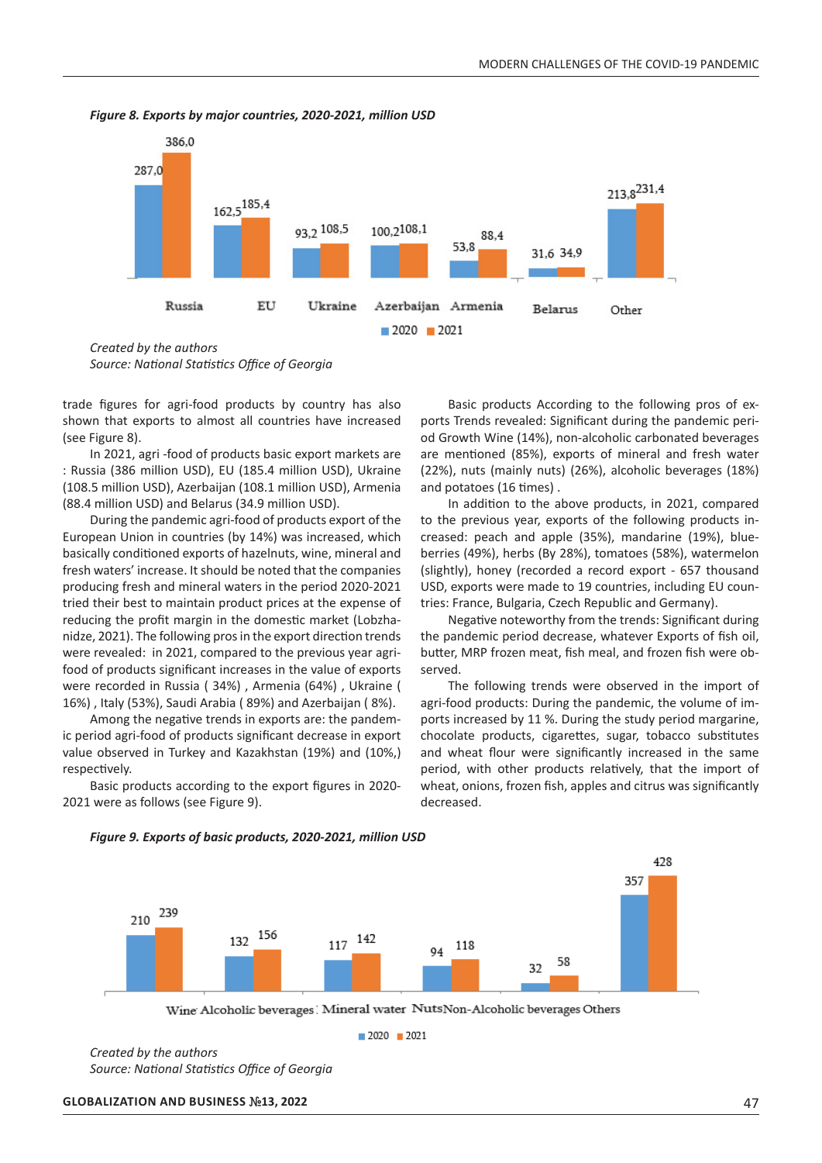

*Figure 8. Exports by major countries, 2020-2021, million USD*

*Created by the authors Source: National Statistics Office of Georgia*

trade figures for agri-food products by country has also shown that exports to almost all countries have increased (see Figure 8).

In 2021, agri -food of products basic export markets are : Russia (386 million USD), EU (185.4 million USD), Ukraine (108.5 million USD), Azerbaijan (108.1 million USD), Armenia (88.4 million USD) and Belarus (34.9 million USD).

During the pandemic agri-food of products export of the European Union in countries (by 14%) was increased, which basically conditioned exports of hazelnuts, wine, mineral and fresh waters' increase. It should be noted that the companies producing fresh and mineral waters in the period 2020-2021 tried their best to maintain product prices at the expense of reducing the profit margin in the domestic market (Lobzhanidze, 2021). The following pros in the export direction trends were revealed: in 2021, compared to the previous year agrifood of products significant increases in the value of exports were recorded in Russia ( 34%) , Armenia (64%) , Ukraine ( 16%) , Italy (53%), Saudi Arabia ( 89%) and Azerbaijan ( 8%).

Among the negative trends in exports are: the pandemic period agri-food of products significant decrease in export value observed in Turkey and Kazakhstan (19%) and (10%,) respectively.

Basic products according to the export figures in 2020- 2021 were as follows (see Figure 9).

Basic products According to the following pros of exports Trends revealed: Significant during the pandemic period Growth Wine (14%), non-alcoholic carbonated beverages are mentioned (85%), exports of mineral and fresh water (22%), nuts (mainly nuts) (26%), alcoholic beverages (18%) and potatoes (16 times) .

In addition to the above products, in 2021, compared to the previous year, exports of the following products increased: peach and apple (35%), mandarine (19%), blueberries (49%), herbs (By 28%), tomatoes (58%), watermelon (slightly), honey (recorded a record export - 657 thousand USD, exports were made to 19 countries, including EU countries: France, Bulgaria, Czech Republic and Germany).

Negative noteworthy from the trends: Significant during the pandemic period decrease, whatever Exports of fish oil, butter, MRP frozen meat, fish meal, and frozen fish were observed.

The following trends were observed in the import of agri-food products: During the pandemic, the volume of imports increased by 11 %. During the study period margarine, chocolate products, cigarettes, sugar, tobacco substitutes and wheat flour were significantly increased in the same period, with other products relatively, that the import of wheat, onions, frozen fish, apples and citrus was significantly decreased.



*Figure 9. Exports of basic products, 2020-2021, million USD*

Wine Alcoholic beverages! Mineral water NutsNon-Alcoholic beverages Others

 $2020$  2021

*Created by the authors Source: National Statistics Office of Georgia*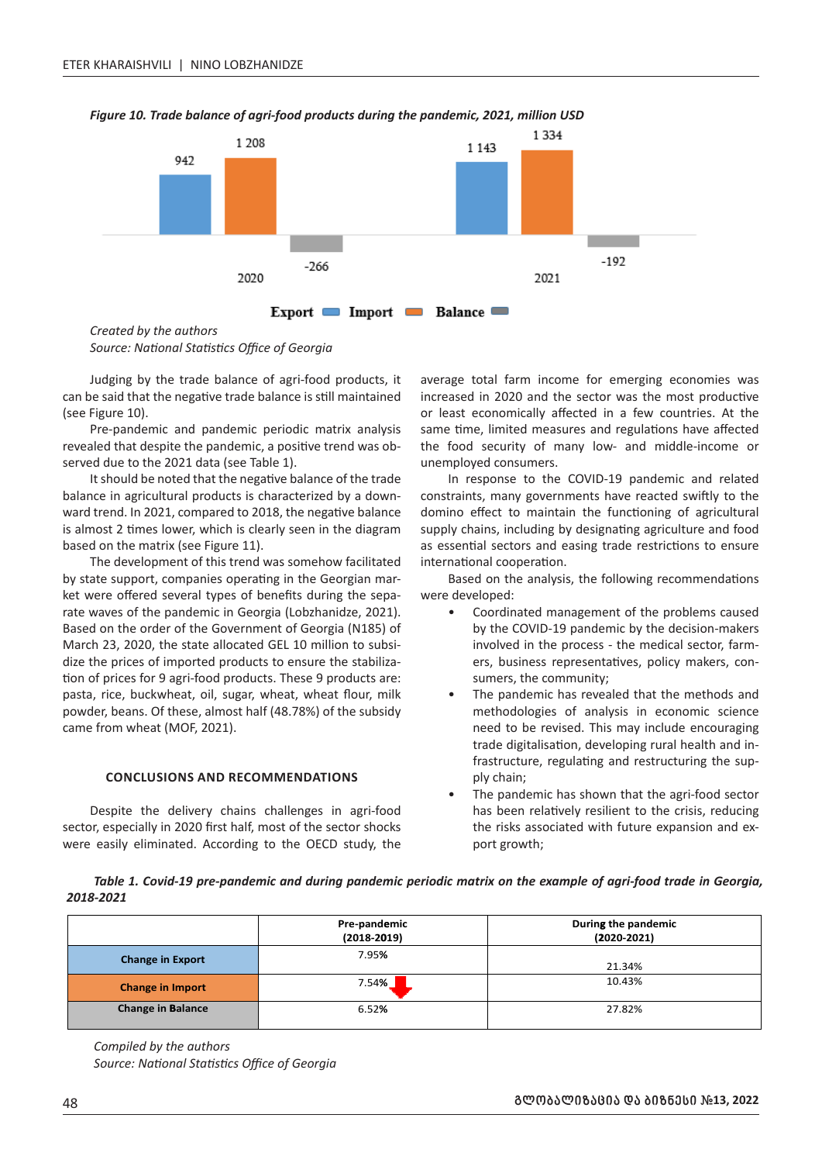

#### *Figure 10. Trade balance of agri-food products during the pandemic, 2021, million USD*

*Created by the authors Source: National Statistics Office of Georgia* 50

Judging by the trade balance of agri-food products, it 40 can be said that the negative trade balance is still maintained (see Figure 10).

Pre-pandemic and pandemic periodic matrix analysis revealed that despite the pandemic, a positive trend was observed due to the 2021 data (see Table 1).

It should be noted that the negative balance of the trade balance in agricultural products is characterized by a downward trend. In 2021, compared to 2018, the negative balance is almost 2 times lower, which is clearly seen in the diagram based on the matrix (see Figure 11).

The development of this trend was somehow facilitated by state support, companies operating in the Georgian marby state support, companies operating in the debigian market were offered several types of benefits during the separate waves of the pandemic in Georgia (Lobzhanidze, 2021). Based on the order of the Government of Georgia (N185) of March 23, 2020, the state allocated GEL 10 million to subsidize the prices of imported products to ensure the stabilization of prices for 9 agri-food products. These 9 products are: pasta, rice, buckwheat, oil, sugar, wheat, wheat flour, milk powder, beans. Of these, almost half (48.78%) of the subsidy powder, beams that the subsidy came from wheat (MOF, 2021). tic<br>pa<br>ca

# **CONCLUSIONS AND RECOMMENDATIONS**  5 00 00,0

Despite the delivery chains challenges in agri-food sector, especially in 2020 first half, most of the sector shocks zector, especially in 2020 mot hall, most of the sector shocks<br>were easily eliminated. According to the OECD study, the

average total farm income for emerging economies was increased in 2020 and the sector was the most productive or least economically affected in a few countries. At the or reast economically arrected in a rew countries. At the same time, limited measures and regulations have affected the food security of many low- and middle-income or unemployed consumers.

In response to the COVID-19 pandemic and related constraints, many governments have reacted swiftly to the domino effect to maintain the functioning of agricultural supply chains, including by designating agriculture and food as essential sectors and easing trade restrictions to ensure international cooperation.

Based on the analysis, the following recommendations were developed:

- Coordinated management of the problems caused by the COVID-19 pandemic by the decision-makers involved in the process - the medical sector, farmers, business representatives, policy makers, consumers, the community; 12 290,3<br>12 390,3
	- The pandemic has revealed that the methods and methodologies of analysis in economic science need to be revised. This may include encouraging trade digitalisation, developing rural health and infrastructure, regulating and restructuring the supply chain; exploration of the pandemic has shown that the agri-food sector
- has been relatively resilient to the crisis, reducing the risks associated with future expansion and exence it is a desired.

Table 1. Covid-19 pre-pandemic and during pandemic periodic matrix on the example of agri-food trade in Georgia, *2018-2021*

|                          | Pre-pandemic<br>$(2018 - 2019)$ | During the pandemic<br>$(2020-2021)$ |
|--------------------------|---------------------------------|--------------------------------------|
| <b>Change in Export</b>  | 7.95%                           | 21.34%                               |
| <b>Change in Import</b>  | 7.54%                           | 10.43%                               |
| <b>Change in Balance</b> | 6.52%                           | 27.82%                               |

*Compiled by the authors Source: National Statistics Office of Georgia*

0,0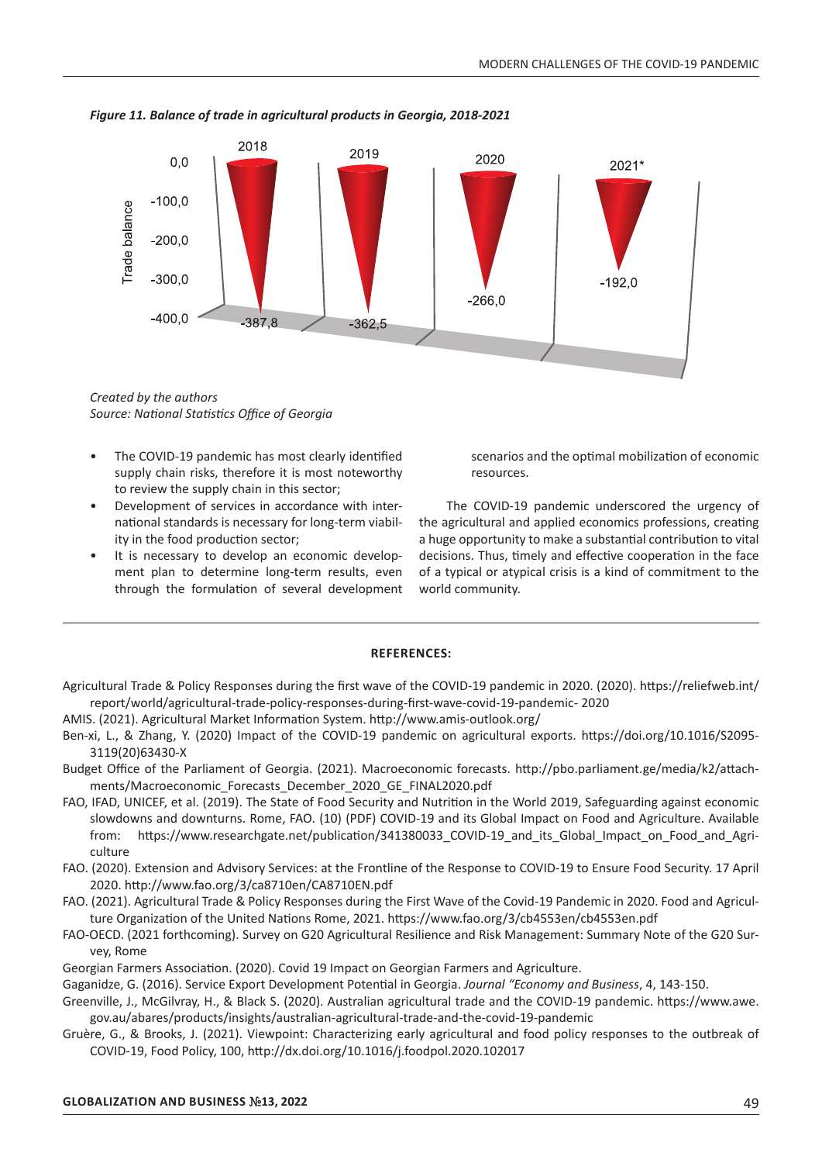

*Figure 11. Balance of trade in agricultural products in Georgia, 2018-2021*

*Created by the authors Source: National Statistics Office of Georgia*

- The COVID-19 pandemic has most clearly identified supply chain risks, therefore it is most noteworthy to review the supply chain in this sector;
- Development of services in accordance with international standards is necessary for long-term viability in the food production sector;
- It is necessary to develop an economic development plan to determine long-term results, even through the formulation of several development

scenarios and the optimal mobilization of economic resources.

The COVID-19 pandemic underscored the urgency of the agricultural and applied economics professions, creating a huge opportunity to make a substantial contribution to vital decisions. Thus, timely and effective cooperation in the face of a typical or atypical crisis is a kind of commitment to the world community.

#### **REFERENCES:**

- Agricultural Trade & Policy Responses during the first wave of the COVID-19 pandemic in 2020. (2020). https://reliefweb.int/ report/world/agricultural-trade-policy-responses-during-first-wave-covid-19-pandemic- 2020
- AMIS. (2021). Agricultural Market Information System. http://www.amis-outlook.org/
- Ben-xi, L., & Zhang, Y. (2020) Impact of the COVID-19 pandemic on agricultural exports. https://doi.org/10.1016/S2095- 3119(20)63430-X
- Budget Office of the Parliament of Georgia. (2021). Macroeconomic forecasts. http://pbo.parliament.ge/media/k2/attachments/Macroeconomic Forecasts December 2020 GE FINAL2020.pdf
- FAO, IFAD, UNICEF, et al. (2019). The State of Food Security and Nutrition in the World 2019, Safeguarding against economic slowdowns and downturns. Rome, FAO. (10) (PDF) COVID-19 and its Global Impact on Food and Agriculture. Available from: https://www.researchgate.net/publication/341380033\_COVID-19\_and\_its\_Global\_Impact\_on\_Food\_and\_Agriculture
- FAO. (2020). Extension and Advisory Services: at the Frontline of the Response to COVID-19 to Ensure Food Security. 17 April 2020. http://www.fao.org/3/ca8710en/CA8710EN.pdf
- FAO. (2021). Agricultural Trade & Policy Responses during the First Wave of the Covid-19 Pandemic in 2020. Food and Agriculture Organization of the United Nations Rome, 2021. https://www.fao.org/3/cb4553en/cb4553en.pdf
- FAO-OECD. (2021 forthcoming). Survey on G20 Agricultural Resilience and Risk Management: Summary Note of the G20 Survey, Rome
- Georgian Farmers Association. (2020). Covid 19 Impact on Georgian Farmers and Agriculture.

Gaganidze, G. (2016). Service Export Development Potential in Georgia. *Journal "Economy and Business*, 4, 143-150.

Greenville, J., McGilvray, H., & Black S. (2020). Australian agricultural trade and the COVID-19 pandemic. https://www.awe. gov.au/abares/products/insights/australian-agricultural-trade-and-the-covid-19-pandemic

Gruère, G., & Brooks, J. (2021). Viewpoint: Characterizing early agricultural and food policy responses to the outbreak of COVID-19, Food Policy, 100, http://dx.doi.org/10.1016/j.foodpol.2020.102017